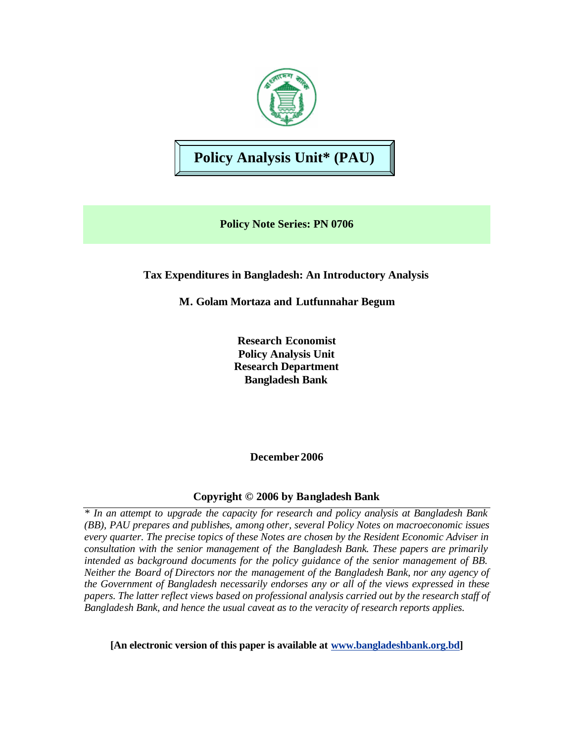

# **Policy Analysis Unit\* (PAU)**

**Policy Note Series: PN 0706**

# **Tax Expenditures in Bangladesh: An Introductory Analysis**

**M. Golam Mortaza and Lutfunnahar Begum**

**Research Economist Policy Analysis Unit Research Department Bangladesh Bank**

**December 2006**

# **Copyright © 2006 by Bangladesh Bank**

*\* In an attempt to upgrade the capacity for research and policy analysis at Bangladesh Bank (BB), PAU prepares and publishes, among other, several Policy Notes on macroeconomic issues every quarter. The precise topics of these Notes are chosen by the Resident Economic Adviser in consultation with the senior management of the Bangladesh Bank. These papers are primarily intended as background documents for the policy guidance of the senior management of BB. Neither the Board of Directors nor the management of the Bangladesh Bank, nor any agency of the Government of Bangladesh necessarily endorses any or all of the views expressed in these papers. The latter reflect views based on professional analysis carried out by the research staff of Bangladesh Bank, and hence the usual caveat as to the veracity of research reports applies.*

**[An electronic version of this paper is available at www.bangladeshbank.org.bd]**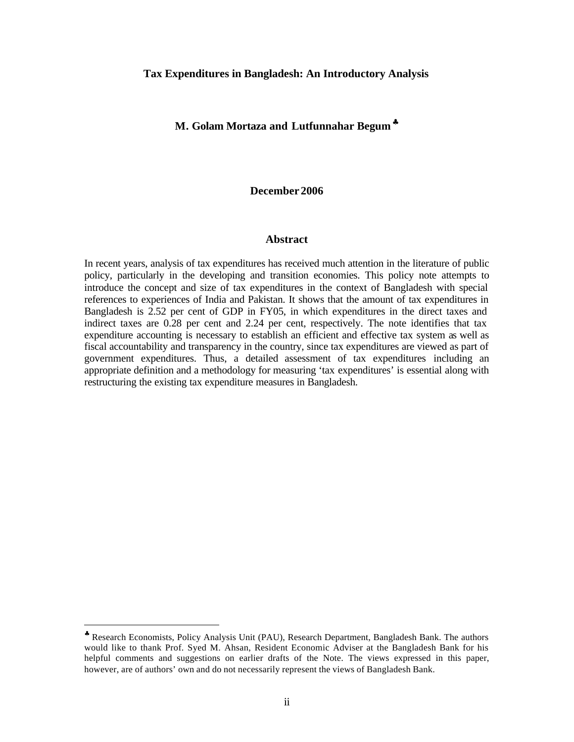#### **Tax Expenditures in Bangladesh: An Introductory Analysis**

#### **M. Golam Mortaza and Lutfunnahar Begum**♣

#### **December 2006**

#### **Abstract**

In recent years, analysis of tax expenditures has received much attention in the literature of public policy, particularly in the developing and transition economies. This policy note attempts to introduce the concept and size of tax expenditures in the context of Bangladesh with special references to experiences of India and Pakistan. It shows that the amount of tax expenditures in Bangladesh is 2.52 per cent of GDP in FY05, in which expenditures in the direct taxes and indirect taxes are 0.28 per cent and 2.24 per cent, respectively. The note identifies that tax expenditure accounting is necessary to establish an efficient and effective tax system as well as fiscal accountability and transparency in the country, since tax expenditures are viewed as part of government expenditures. Thus, a detailed assessment of tax expenditures including an appropriate definition and a methodology for measuring 'tax expenditures' is essential along with restructuring the existing tax expenditure measures in Bangladesh.

 $\overline{a}$ 

<sup>♣</sup> Research Economists, Policy Analysis Unit (PAU), Research Department, Bangladesh Bank. The authors would like to thank Prof. Syed M. Ahsan, Resident Economic Adviser at the Bangladesh Bank for his helpful comments and suggestions on earlier drafts of the Note. The views expressed in this paper, however, are of authors' own and do not necessarily represent the views of Bangladesh Bank.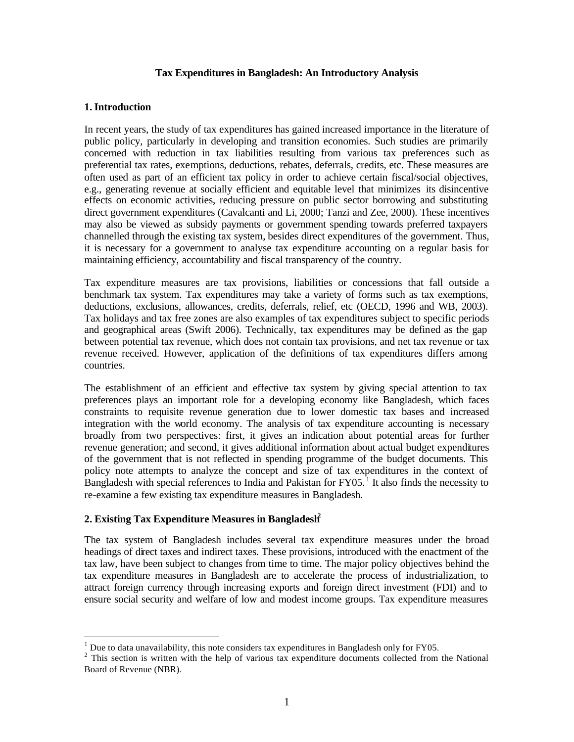#### **Tax Expenditures in Bangladesh: An Introductory Analysis**

#### **1. Introduction**

In recent years, the study of tax expenditures has gained increased importance in the literature of public policy, particularly in developing and transition economies. Such studies are primarily concerned with reduction in tax liabilities resulting from various tax preferences such as preferential tax rates, exemptions, deductions, rebates, deferrals, credits, etc. These measures are often used as part of an efficient tax policy in order to achieve certain fiscal/social objectives, e.g., generating revenue at socially efficient and equitable level that minimizes its disincentive effects on economic activities, reducing pressure on public sector borrowing and substituting direct government expenditures (Cavalcanti and Li, 2000; Tanzi and Zee, 2000). These incentives may also be viewed as subsidy payments or government spending towards preferred taxpayers channelled through the existing tax system, besides direct expenditures of the government. Thus, it is necessary for a government to analyse tax expenditure accounting on a regular basis for maintaining efficiency, accountability and fiscal transparency of the country.

Tax expenditure measures are tax provisions, liabilities or concessions that fall outside a benchmark tax system. Tax expenditures may take a variety of forms such as tax exemptions, deductions, exclusions, allowances, credits, deferrals, relief, etc (OECD, 1996 and WB, 2003). Tax holidays and tax free zones are also examples of tax expenditures subject to specific periods and geographical areas (Swift 2006). Technically, tax expenditures may be defined as the gap between potential tax revenue, which does not contain tax provisions, and net tax revenue or tax revenue received. However, application of the definitions of tax expenditures differs among countries.

The establishment of an efficient and effective tax system by giving special attention to tax preferences plays an important role for a developing economy like Bangladesh, which faces constraints to requisite revenue generation due to lower domestic tax bases and increased integration with the world economy. The analysis of tax expenditure accounting is necessary broadly from two perspectives: first, it gives an indication about potential areas for further revenue generation; and second, it gives additional information about actual budget expenditures of the government that is not reflected in spending programme of the budget documents. This policy note attempts to analyze the concept and size of tax expenditures in the context of Bangladesh with special references to India and Pakistan for  $FY05$ .<sup>1</sup> It also finds the necessity to re-examine a few existing tax expenditure measures in Bangladesh.

#### **2. Existing Tax Expenditure Measures in Bangladesh<sup>2</sup>**

The tax system of Bangladesh includes several tax expenditure measures under the broad headings of direct taxes and indirect taxes. These provisions, introduced with the enactment of the tax law, have been subject to changes from time to time. The major policy objectives behind the tax expenditure measures in Bangladesh are to accelerate the process of industrialization, to attract foreign currency through increasing exports and foreign direct investment (FDI) and to ensure social security and welfare of low and modest income groups. Tax expenditure measures

 1 Due to data unavailability, this note considers tax expenditures in Bangladesh only for FY05.

 $2$  This section is written with the help of various tax expenditure documents collected from the National Board of Revenue (NBR).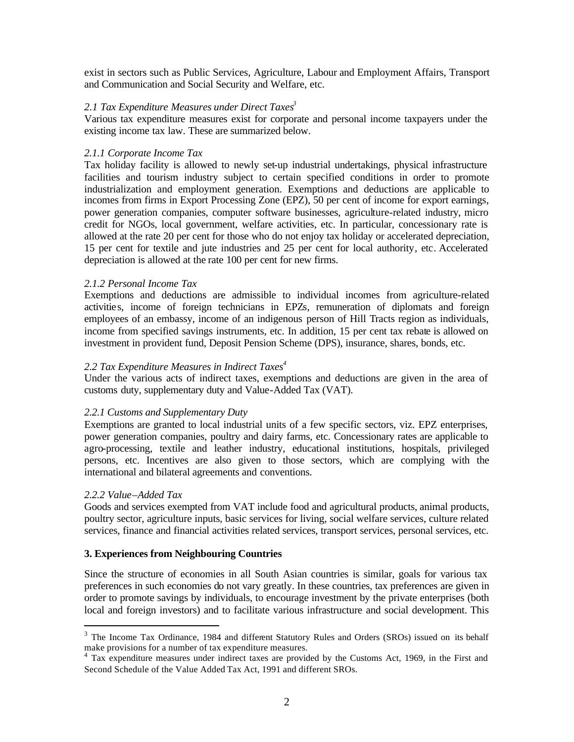exist in sectors such as Public Services, Agriculture, Labour and Employment Affairs, Transport and Communication and Social Security and Welfare, etc.

## *2.1 Tax Expenditure Measures under Direct Taxes<sup>3</sup>*

Various tax expenditure measures exist for corporate and personal income taxpayers under the existing income tax law. These are summarized below.

## *2.1.1 Corporate Income Tax*

Tax holiday facility is allowed to newly set-up industrial undertakings, physical infrastructure facilities and tourism industry subject to certain specified conditions in order to promote industrialization and employment generation. Exemptions and deductions are applicable to incomes from firms in Export Processing Zone (EPZ), 50 per cent of income for export earnings, power generation companies, computer software businesses, agriculture-related industry, micro credit for NGOs, local government, welfare activities, etc. In particular, concessionary rate is allowed at the rate 20 per cent for those who do not enjoy tax holiday or accelerated depreciation, 15 per cent for textile and jute industries and 25 per cent for local authority, etc. Accelerated depreciation is allowed at the rate 100 per cent for new firms.

#### *2.1.2 Personal Income Tax*

Exemptions and deductions are admissible to individual incomes from agriculture-related activities, income of foreign technicians in EPZs, remuneration of diplomats and foreign employees of an embassy, income of an indigenous person of Hill Tracts region as individuals, income from specified savings instruments, etc. In addition, 15 per cent tax rebate is allowed on investment in provident fund, Deposit Pension Scheme (DPS), insurance, shares, bonds, etc.

## *2.2 Tax Expenditure Measures in Indirect Taxes<sup>4</sup>*

Under the various acts of indirect taxes, exemptions and deductions are given in the area of customs duty, supplementary duty and Value-Added Tax (VAT).

#### *2.2.1 Customs and Supplementary Duty*

Exemptions are granted to local industrial units of a few specific sectors, viz. EPZ enterprises, power generation companies, poultry and dairy farms, etc. Concessionary rates are applicable to agro-processing, textile and leather industry, educational institutions, hospitals, privileged persons, etc. Incentives are also given to those sectors, which are complying with the international and bilateral agreements and conventions.

#### *2.2.2 Value–Added Tax*

 $\overline{a}$ 

Goods and services exempted from VAT include food and agricultural products, animal products, poultry sector, agriculture inputs, basic services for living, social welfare services, culture related services, finance and financial activities related services, transport services, personal services, etc.

#### **3. Experiences from Neighbouring Countries**

Since the structure of economies in all South Asian countries is similar, goals for various tax preferences in such economies do not vary greatly. In these countries, tax preferences are given in order to promote savings by individuals, to encourage investment by the private enterprises (both local and foreign investors) and to facilitate various infrastructure and social development. This

<sup>&</sup>lt;sup>3</sup> The Income Tax Ordinance, 1984 and different Statutory Rules and Orders (SROs) issued on its behalf make provisions for a number of tax expenditure measures.<br><sup>4</sup> Tax expenditure measures under indirect taxes are provided by the Customs Act, 1969, in the First and

Second Schedule of the Value Added Tax Act, 1991 and different SROs.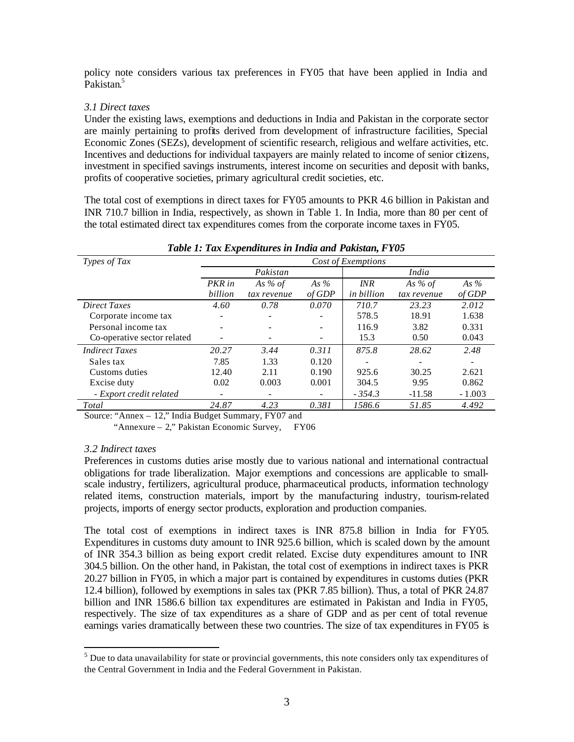policy note considers various tax preferences in FY05 that have been applied in India and Pakistan.<sup>5</sup>

#### *3.1 Direct taxes*

Under the existing laws, exemptions and deductions in India and Pakistan in the corporate sector are mainly pertaining to profits derived from development of infrastructure facilities, Special Economic Zones (SEZs), development of scientific research, religious and welfare activities, etc. Incentives and deductions for individual taxpayers are mainly related to income of senior citizens, investment in specified savings instruments, interest income on securities and deposit with banks, profits of cooperative societies, primary agricultural credit societies, etc.

The total cost of exemptions in direct taxes for FY05 amounts to PKR 4.6 billion in Pakistan and INR 710.7 billion in India, respectively, as shown in Table 1. In India, more than 80 per cent of the total estimated direct tax expenditures comes from the corporate income taxes in FY05.

| Tuble 1. Tux Expenditures in India and I akistan, I Too |                    |             |        |                   |             |          |
|---------------------------------------------------------|--------------------|-------------|--------|-------------------|-------------|----------|
| Types of Tax                                            | Cost of Exemptions |             |        |                   |             |          |
|                                                         | Pakistan           |             |        | India             |             |          |
|                                                         | PKR in             | As % of     | As %   | INR               | As % of     | As %     |
|                                                         | billion            | tax revenue | of GDP | <i>in billion</i> | tax revenue | of GDP   |
| <b>Direct Taxes</b>                                     | 4.60               | 0.78        | 0.070  | 710.7             | 23.23       | 2.012    |
| Corporate income tax                                    |                    |             |        | 578.5             | 18.91       | 1.638    |
| Personal income tax                                     |                    |             |        | 116.9             | 3.82        | 0.331    |
| Co-operative sector related                             |                    |             |        | 15.3              | 0.50        | 0.043    |
| <b>Indirect Taxes</b>                                   | 20.27              | 3.44        | 0.311  | 875.8             | 28.62       | 2.48     |
| Sales tax                                               | 7.85               | 1.33        | 0.120  |                   |             |          |
| Customs duties                                          | 12.40              | 2.11        | 0.190  | 925.6             | 30.25       | 2.621    |
| Excise duty                                             | 0.02               | 0.003       | 0.001  | 304.5             | 9.95        | 0.862    |
| - Export credit related                                 |                    |             |        | $-354.3$          | $-11.58$    | $-1.003$ |
| Total                                                   | 24.87              | 4.23        | 0.381  | 1586.6            | 51.85       | 4.492    |

## *Table 1: Tax Expenditures in India and Pakistan, FY05*

Source: "Annex – 12," India Budget Summary, FY07 and

"Annexure – 2," Pakistan Economic Survey, FY06

#### *3.2 Indirect taxes*

Preferences in customs duties arise mostly due to various national and international contractual obligations for trade liberalization. Major exemptions and concessions are applicable to smallscale industry, fertilizers, agricultural produce, pharmaceutical products, information technology related items, construction materials, import by the manufacturing industry, tourism-related projects, imports of energy sector products, exploration and production companies.

The total cost of exemptions in indirect taxes is INR 875.8 billion in India for FY05. Expenditures in customs duty amount to INR 925.6 billion, which is scaled down by the amount of INR 354.3 billion as being export credit related. Excise duty expenditures amount to INR 304.5 billion. On the other hand, in Pakistan, the total cost of exemptions in indirect taxes is PKR 20.27 billion in FY05, in which a major part is contained by expenditures in customs duties (PKR 12.4 billion), followed by exemptions in sales tax (PKR 7.85 billion). Thus, a total of PKR 24.87 billion and INR 1586.6 billion tax expenditures are estimated in Pakistan and India in FY05, respectively. The size of tax expenditures as a share of GDP and as per cent of total revenue earnings varies dramatically between these two countries. The size of tax expenditures in FY05 is

<sup>&</sup>lt;sup>5</sup><br><sup>5</sup> Due to data unavailability for state or provincial governments, this note considers only tax expenditures of the Central Government in India and the Federal Government in Pakistan.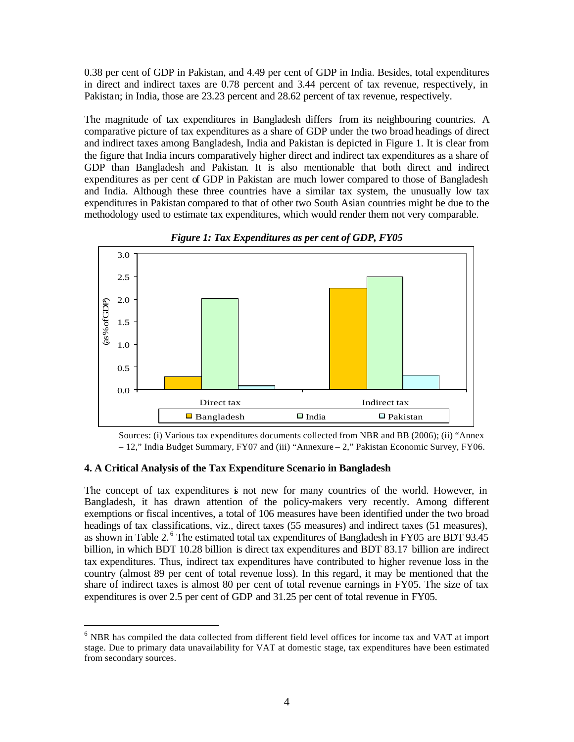0.38 per cent of GDP in Pakistan, and 4.49 per cent of GDP in India. Besides, total expenditures in direct and indirect taxes are 0.78 percent and 3.44 percent of tax revenue, respectively, in Pakistan; in India, those are 23.23 percent and 28.62 percent of tax revenue, respectively.

The magnitude of tax expenditures in Bangladesh differs from its neighbouring countries. A comparative picture of tax expenditures as a share of GDP under the two broad headings of direct and indirect taxes among Bangladesh, India and Pakistan is depicted in Figure 1. It is clear from the figure that India incurs comparatively higher direct and indirect tax expenditures as a share of GDP than Bangladesh and Pakistan. It is also mentionable that both direct and indirect expenditures as per cent of GDP in Pakistan are much lower compared to those of Bangladesh and India. Although these three countries have a similar tax system, the unusually low tax expenditures in Pakistan compared to that of other two South Asian countries might be due to the methodology used to estimate tax expenditures, which would render them not very comparable.



*Figure 1: Tax Expenditures as per cent of GDP, FY05*

Sources: (i) Various tax expenditures documents collected from NBR and BB (2006); (ii) "Annex – 12," India Budget Summary, FY07 and (iii) "Annexure – 2," Pakistan Economic Survey, FY06.

#### **4. A Critical Analysis of the Tax Expenditure Scenario in Bangladesh**

 $\overline{a}$ 

The concept of tax expenditures is not new for many countries of the world. However, in Bangladesh, it has drawn attention of the policy-makers very recently. Among different exemptions or fiscal incentives, a total of 106 measures have been identified under the two broad headings of tax classifications, viz., direct taxes (55 measures) and indirect taxes (51 measures), as shown in Table 2.<sup>6</sup> The estimated total tax expenditures of Bangladesh in FY05 are BDT 93.45 billion, in which BDT 10.28 billion is direct tax expenditures and BDT 83.17 billion are indirect tax expenditures. Thus, indirect tax expenditures have contributed to higher revenue loss in the country (almost 89 per cent of total revenue loss). In this regard, it may be mentioned that the share of indirect taxes is almost 80 per cent of total revenue earnings in FY05. The size of tax expenditures is over 2.5 per cent of GDP and 31.25 per cent of total revenue in FY05.

 $6$  NBR has compiled the data collected from different field level offices for income tax and VAT at import stage. Due to primary data unavailability for VAT at domestic stage, tax expenditures have been estimated from secondary sources.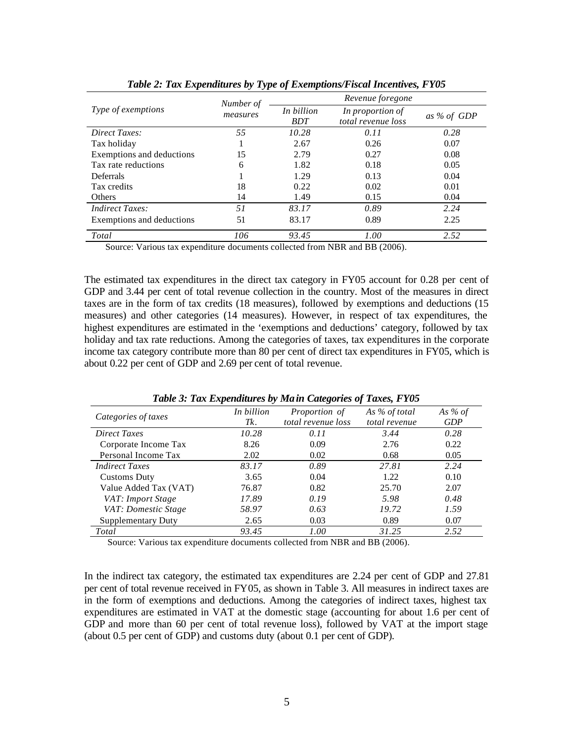|                           | . .<br>Number of | Revenue foregone         |                                        |             |  |
|---------------------------|------------------|--------------------------|----------------------------------------|-------------|--|
| Type of exemptions        | measures         | In billion<br><b>BDT</b> | In proportion of<br>total revenue loss | as % of GDP |  |
| Direct Taxes:             | 55               | 10.28                    | 0.11                                   | 0.28        |  |
| Tax holiday               |                  | 2.67                     | 0.26                                   | 0.07        |  |
| Exemptions and deductions | 15               | 2.79                     | 0.27                                   | 0.08        |  |
| Tax rate reductions       | 6                | 1.82                     | 0.18                                   | 0.05        |  |
| Deferrals                 |                  | 1.29                     | 0.13                                   | 0.04        |  |
| Tax credits               | 18               | 0.22                     | 0.02                                   | 0.01        |  |
| Others                    | 14               | 1.49                     | 0.15                                   | 0.04        |  |
| <i>Indirect Taxes:</i>    | 51               | 83.17                    | 0.89                                   | 2.24        |  |
| Exemptions and deductions | 51               | 83.17                    | 0.89                                   | 2.25        |  |
| Total                     | 106              | 93.45                    | 1.00                                   | 2.52        |  |

*Table 2: Tax Expenditures by Type of Exemptions/Fiscal Incentives, FY05*

Source: Various tax expenditure documents collected from NBR and BB (2006).

The estimated tax expenditures in the direct tax category in FY05 account for 0.28 per cent of GDP and 3.44 per cent of total revenue collection in the country. Most of the measures in direct taxes are in the form of tax credits (18 measures), followed by exemptions and deductions (15 measures) and other categories (14 measures). However, in respect of tax expenditures, the highest expenditures are estimated in the 'exemptions and deductions' category, followed by tax holiday and tax rate reductions. Among the categories of taxes, tax expenditures in the corporate income tax category contribute more than 80 per cent of direct tax expenditures in FY05, which is about 0.22 per cent of GDP and 2.69 per cent of total revenue.

| Categories of taxes       | In billion | <i>Proportion of</i> | As % of total | As % of    |
|---------------------------|------------|----------------------|---------------|------------|
|                           | Tk.        | total revenue loss   | total revenue | <b>GDP</b> |
| <b>Direct Taxes</b>       | 10.28      | 0.11                 | 3.44          | 0.28       |
| Corporate Income Tax      | 8.26       | 0.09                 | 2.76          | 0.22       |
| Personal Income Tax       | 2.02       | 0.02                 | 0.68          | 0.05       |
| <b>Indirect Taxes</b>     | 83.17      | 0.89                 | 27.81         | 2.24       |
| Customs Duty              | 3.65       | 0.04                 | 1.22.         | 0.10       |
| Value Added Tax (VAT)     | 76.87      | 0.82                 | 25.70         | 2.07       |
| VAT: Import Stage         | 17.89      | 0.19                 | 5.98          | 0.48       |
| VAT: Domestic Stage       | 58.97      | 0.63                 | 19.72         | 1.59       |
| <b>Supplementary Duty</b> | 2.65       | 0.03                 | 0.89          | 0.07       |
| Total                     | 93.45      | 1.00                 | 31.25         | 2.52       |

*Table 3: Tax Expenditures by Main Categories of Taxes, FY05*

Source: Various tax expenditure documents collected from NBR and BB (2006).

In the indirect tax category, the estimated tax expenditures are 2.24 per cent of GDP and 27.81 per cent of total revenue received in FY05, as shown in Table 3. All measures in indirect taxes are in the form of exemptions and deductions. Among the categories of indirect taxes, highest tax expenditures are estimated in VAT at the domestic stage (accounting for about 1.6 per cent of GDP and more than 60 per cent of total revenue loss), followed by VAT at the import stage (about 0.5 per cent of GDP) and customs duty (about 0.1 per cent of GDP).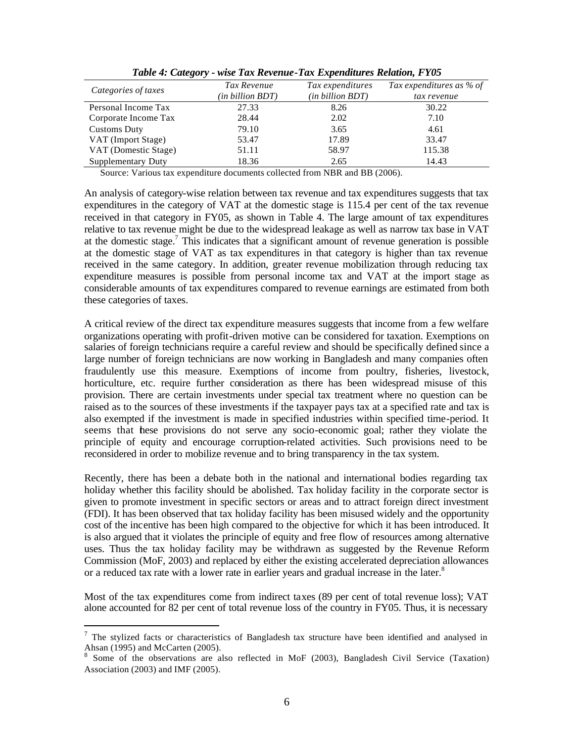| Categories of taxes  | Tax Revenue      | Tax expenditures | Tax expenditures as % of |
|----------------------|------------------|------------------|--------------------------|
|                      | (in billion BDT) | (in billion BDT) | tax revenue              |
| Personal Income Tax  | 27.33            | 8.26             | 30.22                    |
| Corporate Income Tax | 28.44            | 2.02             | 7.10                     |
| <b>Customs Duty</b>  | 79.10            | 3.65             | 4.61                     |
| VAT (Import Stage)   | 53.47            | 17.89            | 33.47                    |
| VAT (Domestic Stage) | 51.11            | 58.97            | 115.38                   |
| Supplementary Duty   | 18.36            | 2.65             | 14.43                    |

*Table 4: Category - wise Tax Revenue-Tax Expenditures Relation, FY05*

Source: Various tax expenditure documents collected from NBR and BB (2006).

An analysis of category-wise relation between tax revenue and tax expenditures suggests that tax expenditures in the category of VAT at the domestic stage is 115.4 per cent of the tax revenue received in that category in FY05, as shown in Table 4. The large amount of tax expenditures relative to tax revenue might be due to the widespread leakage as well as narrow tax base in VAT at the domestic stage.<sup>7</sup> This indicates that a significant amount of revenue generation is possible at the domestic stage of VAT as tax expenditures in that category is higher than tax revenue received in the same category. In addition, greater revenue mobilization through reducing tax expenditure measures is possible from personal income tax and VAT at the import stage as considerable amounts of tax expenditures compared to revenue earnings are estimated from both these categories of taxes.

A critical review of the direct tax expenditure measures suggests that income from a few welfare organizations operating with profit-driven motive can be considered for taxation. Exemptions on salaries of foreign technicians require a careful review and should be specifically defined since a large number of foreign technicians are now working in Bangladesh and many companies often fraudulently use this measure. Exemptions of income from poultry, fisheries, livestock, horticulture, etc. require further consideration as there has been widespread misuse of this provision. There are certain investments under special tax treatment where no question can be raised as to the sources of these investments if the taxpayer pays tax at a specified rate and tax is also exempted if the investment is made in specified industries within specified time-period. It seems that these provisions do not serve any socio-economic goal; rather they violate the principle of equity and encourage corruption-related activities. Such provisions need to be reconsidered in order to mobilize revenue and to bring transparency in the tax system.

Recently, there has been a debate both in the national and international bodies regarding tax holiday whether this facility should be abolished. Tax holiday facility in the corporate sector is given to promote investment in specific sectors or areas and to attract foreign direct investment (FDI). It has been observed that tax holiday facility has been misused widely and the opportunity cost of the incentive has been high compared to the objective for which it has been introduced. It is also argued that it violates the principle of equity and free flow of resources among alternative uses. Thus the tax holiday facility may be withdrawn as suggested by the Revenue Reform Commission (MoF, 2003) and replaced by either the existing accelerated depreciation allowances or a reduced tax rate with a lower rate in earlier years and gradual increase in the later.<sup>8</sup>

Most of the tax expenditures come from indirect taxes (89 per cent of total revenue loss); VAT alone accounted for 82 per cent of total revenue loss of the country in FY05. Thus, it is necessary

 $\overline{a}$ 

 $7$  The stylized facts or characteristics of Bangladesh tax structure have been identified and analysed in Ahsan (1995) and McCarten (2005).

<sup>&</sup>lt;sup>8</sup> Some of the observations are also reflected in MoF (2003), Bangladesh Civil Service (Taxation) Association (2003) and IMF (2005).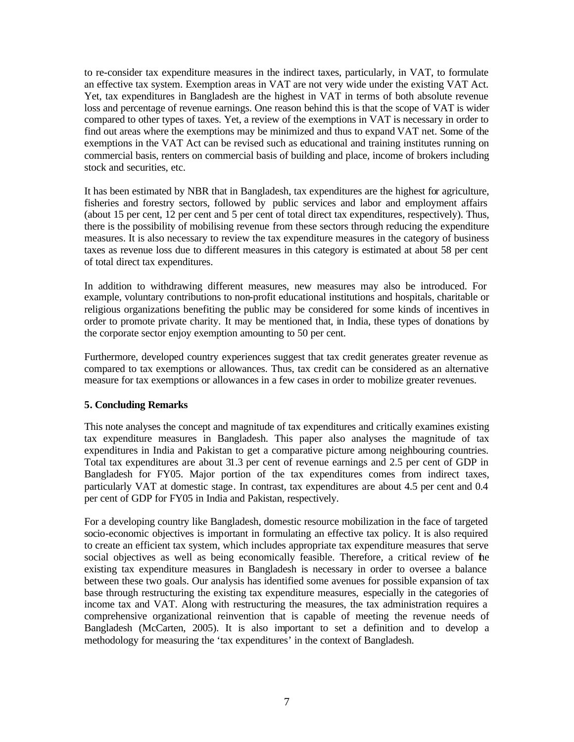to re-consider tax expenditure measures in the indirect taxes, particularly, in VAT, to formulate an effective tax system. Exemption areas in VAT are not very wide under the existing VAT Act. Yet, tax expenditures in Bangladesh are the highest in VAT in terms of both absolute revenue loss and percentage of revenue earnings. One reason behind this is that the scope of VAT is wider compared to other types of taxes. Yet, a review of the exemptions in VAT is necessary in order to find out areas where the exemptions may be minimized and thus to expand VAT net. Some of the exemptions in the VAT Act can be revised such as educational and training institutes running on commercial basis, renters on commercial basis of building and place, income of brokers including stock and securities, etc.

It has been estimated by NBR that in Bangladesh, tax expenditures are the highest for agriculture, fisheries and forestry sectors, followed by public services and labor and employment affairs (about 15 per cent, 12 per cent and 5 per cent of total direct tax expenditures, respectively). Thus, there is the possibility of mobilising revenue from these sectors through reducing the expenditure measures. It is also necessary to review the tax expenditure measures in the category of business taxes as revenue loss due to different measures in this category is estimated at about 58 per cent of total direct tax expenditures.

In addition to withdrawing different measures, new measures may also be introduced. For example, voluntary contributions to non-profit educational institutions and hospitals, charitable or religious organizations benefiting the public may be considered for some kinds of incentives in order to promote private charity. It may be mentioned that, in India, these types of donations by the corporate sector enjoy exemption amounting to 50 per cent.

Furthermore, developed country experiences suggest that tax credit generates greater revenue as compared to tax exemptions or allowances. Thus, tax credit can be considered as an alternative measure for tax exemptions or allowances in a few cases in order to mobilize greater revenues.

## **5. Concluding Remarks**

This note analyses the concept and magnitude of tax expenditures and critically examines existing tax expenditure measures in Bangladesh. This paper also analyses the magnitude of tax expenditures in India and Pakistan to get a comparative picture among neighbouring countries. Total tax expenditures are about 31.3 per cent of revenue earnings and 2.5 per cent of GDP in Bangladesh for FY05. Major portion of the tax expenditures comes from indirect taxes, particularly VAT at domestic stage. In contrast, tax expenditures are about 4.5 per cent and 0.4 per cent of GDP for FY05 in India and Pakistan, respectively.

For a developing country like Bangladesh, domestic resource mobilization in the face of targeted socio-economic objectives is important in formulating an effective tax policy. It is also required to create an efficient tax system, which includes appropriate tax expenditure measures that serve social objectives as well as being economically feasible. Therefore, a critical review of the existing tax expenditure measures in Bangladesh is necessary in order to oversee a balance between these two goals. Our analysis has identified some avenues for possible expansion of tax base through restructuring the existing tax expenditure measures, especially in the categories of income tax and VAT. Along with restructuring the measures, the tax administration requires a comprehensive organizational reinvention that is capable of meeting the revenue needs of Bangladesh (McCarten, 2005). It is also important to set a definition and to develop a methodology for measuring the 'tax expenditures' in the context of Bangladesh.